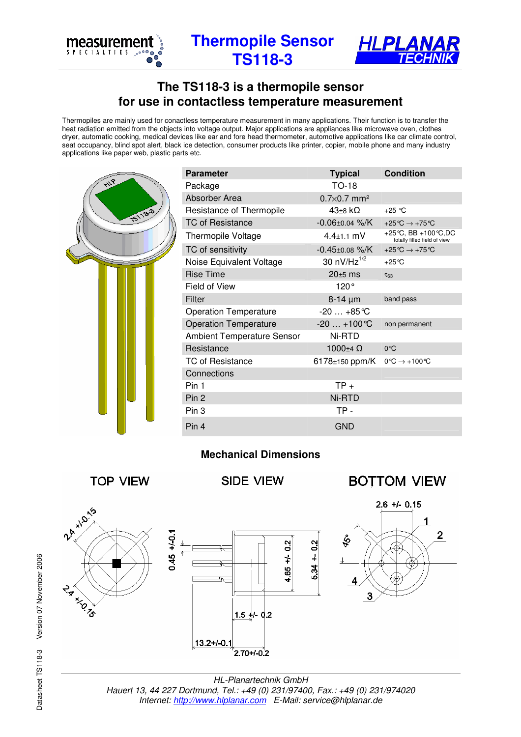

**Thermopile Sensor TS118-3** 



## **The TS118-3 is a thermopile sensor for use in contactless temperature measurement**

Thermopiles are mainly used for conactless temperature measurement in many applications. Their function is to transfer the heat radiation emitted from the objects into voltage output. Major applications are appliances like microwave oven, clothes dryer, automatic cooking, medical devices like ear and fore head thermometer, automotive applications like car climate control, seat occupancy, blind spot alert, black ice detection, consumer products like printer, copier, mobile phone and many industry applications like paper web, plastic parts etc.

|                |  | <b>Parameter</b>                  | <b>Typical</b>                                        | <b>Condition</b>                                       |
|----------------|--|-----------------------------------|-------------------------------------------------------|--------------------------------------------------------|
| HIP            |  | Package                           | TO-18                                                 |                                                        |
| <b>TS118-3</b> |  | Absorber Area                     | $0.7\times0.7$ mm <sup>2</sup>                        |                                                        |
|                |  | Resistance of Thermopile          | $43\pm8\;k\Omega$                                     | $+25$ °C                                               |
|                |  | <b>TC of Resistance</b>           | $-0.06 \pm 0.04$ %/K                                  | +25 °C $\rightarrow$ +75 °C                            |
|                |  | <b>Thermopile Voltage</b>         | $4.4 \pm 1.1$ mV                                      | +25 °C, BB +100 °C, DC<br>totally filled field of view |
|                |  | TC of sensitivity                 | $-0.45 \pm 0.08$ %/K                                  | +25 $\degree$ C $\rightarrow$ +75 $\degree$ C          |
|                |  | Noise Equivalent Voltage          | 30 $nV/Hz^{1/2}$                                      | $+25^{\circ}$ C                                        |
|                |  | <b>Rise Time</b>                  | $20±5$ ms                                             | $\tau_{63}$                                            |
|                |  | Field of View                     | 120°                                                  |                                                        |
|                |  | Filter                            | $8-14 \mu m$                                          | band pass                                              |
|                |  | <b>Operation Temperature</b>      | $-20+85$ °C                                           |                                                        |
|                |  | <b>Operation Temperature</b>      | $-20+100$ °C                                          | non permanent                                          |
|                |  | <b>Ambient Temperature Sensor</b> | Ni-RTD                                                |                                                        |
|                |  | Resistance                        | 1000 $\pm$ 4 $\Omega$                                 | $0^{\circ}C$                                           |
|                |  | <b>TC of Resistance</b>           | 6178±150 ppm/K $0^{\circ}C \rightarrow +100^{\circ}C$ |                                                        |
|                |  | Connections                       |                                                       |                                                        |
|                |  | Pin 1                             | $TP +$                                                |                                                        |
|                |  | Pin 2                             | Ni-RTD                                                |                                                        |
|                |  | Pin 3                             | TP-                                                   |                                                        |
|                |  | Pin 4                             | <b>GND</b>                                            |                                                        |

## **Mechanical Dimensions**



HL-Planartechnik GmbH Hauert 13, 44 227 Dortmund, Tel.: +49 (0) 231/97400, Fax.: +49 (0) 231/974020 Internet: http://www.hlplanar.com E-Mail: service@hlplanar.de